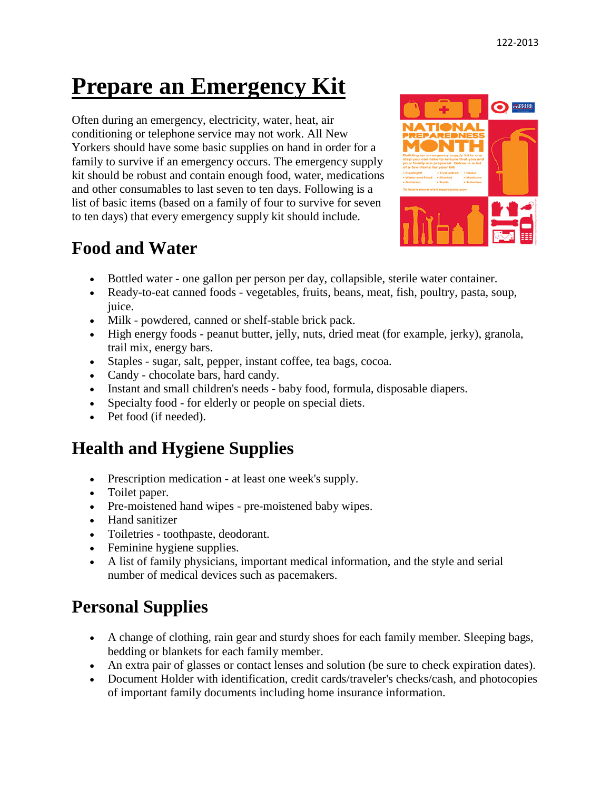# **Prepare an Emergency Kit**

Often during an emergency, electricity, water, heat, air conditioning or telephone service may not work. All New Yorkers should have some basic supplies on hand in order for a family to survive if an emergency occurs. The emergency supply kit should be robust and contain enough food, water, medications and other consumables to last seven to ten days. Following is a list of basic items (based on a family of four to survive for seven to ten days) that every emergency supply kit should include.

#### **Food and Water**



- Bottled water one gallon per person per day, collapsible, sterile water container.
- Ready-to-eat canned foods vegetables, fruits, beans, meat, fish, poultry, pasta, soup, juice.
- Milk powdered, canned or shelf-stable brick pack.
- High energy foods peanut butter, jelly, nuts, dried meat (for example, jerky), granola, trail mix, energy bars.
- Staples sugar, salt, pepper, instant coffee, tea bags, cocoa.
- Candy chocolate bars, hard candy.
- Instant and small children's needs baby food, formula, disposable diapers.
- Specialty food for elderly or people on special diets.
- Pet food (if needed).

## **Health and Hygiene Supplies**

- Prescription medication at least one week's supply.
- Toilet paper.
- Pre-moistened hand wipes pre-moistened baby wipes.
- Hand sanitizer
- Toiletries toothpaste, deodorant.
- Feminine hygiene supplies.
- A list of family physicians, important medical information, and the style and serial number of medical devices such as pacemakers.

## **Personal Supplies**

- A change of clothing, rain gear and sturdy shoes for each family member. Sleeping bags, bedding or blankets for each family member.
- An extra pair of glasses or contact lenses and solution (be sure to check expiration dates).
- Document Holder with identification, credit cards/traveler's checks/cash, and photocopies of important family documents including home insurance information.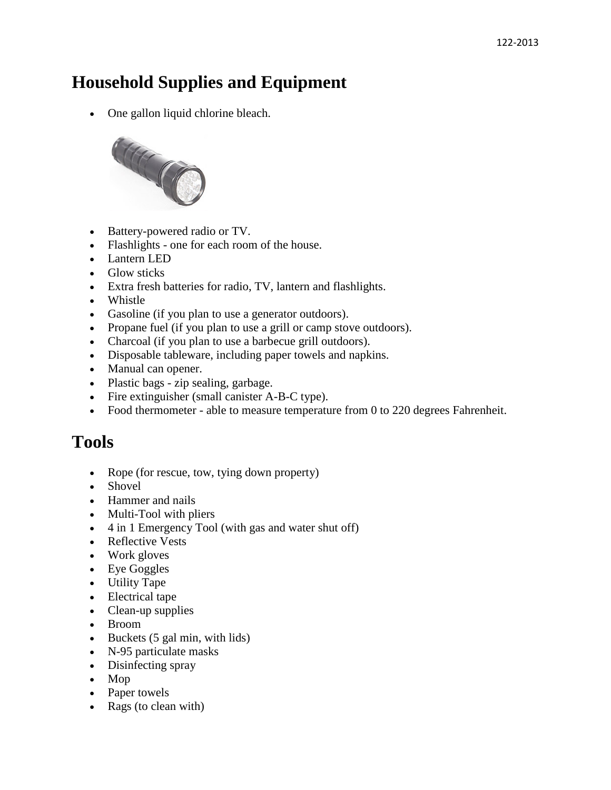### **Household Supplies and Equipment**

• One gallon liquid chlorine bleach.



- Battery-powered radio or TV.
- Flashlights one for each room of the house.
- Lantern LED
- Glow sticks
- Extra fresh batteries for radio, TV, lantern and flashlights.
- Whistle
- Gasoline (if you plan to use a generator outdoors).
- Propane fuel (if you plan to use a grill or camp stove outdoors).
- Charcoal (if you plan to use a barbecue grill outdoors).
- Disposable tableware, including paper towels and napkins.
- Manual can opener.
- Plastic bags zip sealing, garbage.
- Fire extinguisher (small canister A-B-C type).
- Food thermometer able to measure temperature from 0 to 220 degrees Fahrenheit.

#### **Tools**

- Rope (for rescue, tow, tying down property)
- Shovel
- Hammer and nails
- Multi-Tool with pliers
- 4 in 1 Emergency Tool (with gas and water shut off)
- Reflective Vests
- Work gloves
- Eye Goggles
- Utility Tape
- Electrical tape
- Clean-up supplies
- Broom
- Buckets (5 gal min, with lids)
- N-95 particulate masks
- Disinfecting spray
- Mop
- Paper towels
- Rags (to clean with)